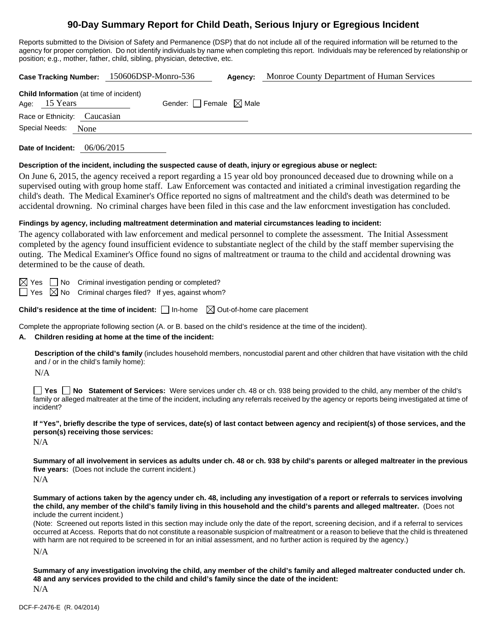# **90-Day Summary Report for Child Death, Serious Injury or Egregious Incident**

Reports submitted to the Division of Safety and Permanence (DSP) that do not include all of the required information will be returned to the agency for proper completion. Do not identify individuals by name when completing this report. Individuals may be referenced by relationship or position; e.g., mother, father, child, sibling, physician, detective, etc.

**Case Tracking Number:** 150606DSP-Monro-536 **Agency:** Monroe County Department of Human Services **Child Information** (at time of incident) Age:  $15$  Years Gender: Female  $\boxtimes$  Male Race or Ethnicity: Caucasian Special Needs: None **Date of Incident:** 06/06/2015

#### **Description of the incident, including the suspected cause of death, injury or egregious abuse or neglect:**

On June 6, 2015, the agency received a report regarding a 15 year old boy pronounced deceased due to drowning while on a supervised outing with group home staff. Law Enforcement was contacted and initiated a criminal investigation regarding the child's death. The Medical Examiner's Office reported no signs of maltreatment and the child's death was determined to be accidental drowning. No criminal charges have been filed in this case and the law enforcment investigation has concluded.

#### **Findings by agency, including maltreatment determination and material circumstances leading to incident:**

The agency collaborated with law enforcement and medical personnel to complete the assessment. The Initial Assessment completed by the agency found insufficient evidence to substantiate neglect of the child by the staff member supervising the outing. The Medical Examiner's Office found no signs of maltreatment or trauma to the child and accidental drowning was determined to be the cause of death.

 $\boxtimes$  Yes  $\Box$  No Criminal investigation pending or completed?

 $\Box$  Yes  $\boxtimes$  No Criminal charges filed? If yes, against whom?

**Child's residence at the time of incident:**  $\Box$  In-home  $\Box$  Out-of-home care placement

Complete the appropriate following section (A. or B. based on the child's residence at the time of the incident).

### **A. Children residing at home at the time of the incident:**

**Description of the child's family** (includes household members, noncustodial parent and other children that have visitation with the child and / or in the child's family home):

N/A

**Yes No** Statement of Services: Were services under ch. 48 or ch. 938 being provided to the child, any member of the child's family or alleged maltreater at the time of the incident, including any referrals received by the agency or reports being investigated at time of incident?

**If "Yes", briefly describe the type of services, date(s) of last contact between agency and recipient(s) of those services, and the person(s) receiving those services:** 

N/A

**Summary of all involvement in services as adults under ch. 48 or ch. 938 by child's parents or alleged maltreater in the previous five years:** (Does not include the current incident.)

 $N/A$ 

**Summary of actions taken by the agency under ch. 48, including any investigation of a report or referrals to services involving the child, any member of the child's family living in this household and the child's parents and alleged maltreater.** (Does not include the current incident.)

(Note: Screened out reports listed in this section may include only the date of the report, screening decision, and if a referral to services occurred at Access. Reports that do not constitute a reasonable suspicion of maltreatment or a reason to believe that the child is threatened with harm are not required to be screened in for an initial assessment, and no further action is required by the agency.)

N/A

**Summary of any investigation involving the child, any member of the child's family and alleged maltreater conducted under ch. 48 and any services provided to the child and child's family since the date of the incident:** 

N/A